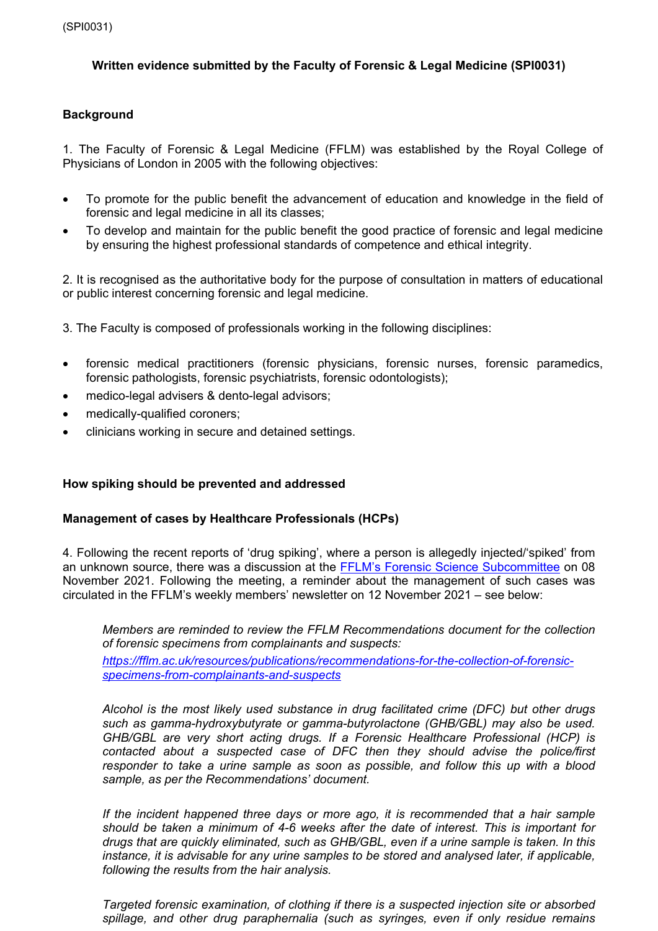# **Written evidence submitted by the Faculty of Forensic & Legal Medicine (SPI0031)**

## **Background**

1. The Faculty of Forensic & Legal Medicine (FFLM) was established by the Royal College of Physicians of London in 2005 with the following objectives:

- To promote for the public benefit the advancement of education and knowledge in the field of forensic and legal medicine in all its classes;
- To develop and maintain for the public benefit the good practice of forensic and legal medicine by ensuring the highest professional standards of competence and ethical integrity.

2. It is recognised as the authoritative body for the purpose of consultation in matters of educational or public interest concerning forensic and legal medicine.

- 3. The Faculty is composed of professionals working in the following disciplines:
- forensic medical practitioners (forensic physicians, forensic nurses, forensic paramedics, forensic pathologists, forensic psychiatrists, forensic odontologists);
- medico-legal advisers & dento-legal advisors:
- medically-qualified coroners;
- clinicians working in secure and detained settings.

## **How spiking should be prevented and addressed**

## **Management of cases by Healthcare Professionals (HCPs)**

4. Following the recent reports of 'drug spiking', where a [pe](https://fflm.ac.uk/about/board-and-committees/forensic-science-subcommittee/)rson is allegedly injected/'spiked' from an unknown source, there was a discussion at the [FFLM's](https://fflm.ac.uk/about/board-and-committees/forensic-science-subcommittee/) [Forensic](https://fflm.ac.uk/about/board-and-committees/forensic-science-subcommittee/) [Science](https://fflm.ac.uk/about/board-and-committees/forensic-science-subcommittee/) [Subcommittee](https://fflm.ac.uk/about/board-and-committees/forensic-science-subcommittee/) on 08 November 2021. Following the meeting, a reminder about the management of such cases was circulated in the FFLM's weekly members' newsletter on 12 November 2021 – see below:

*Members are reminded to review the FFLM Recommendations document for the collection of forensic specimens from complainants and suspects:*

*[https://fflm.ac.uk/resources/publications/recommendations-for-the-collection-of-forensic](https://fflm.ac.uk/resources/publications/recommendations-for-the-collection-of-forensic-specimens-from-complainants-and-suspects)[specimens-from-complainants-and-suspects](https://fflm.ac.uk/resources/publications/recommendations-for-the-collection-of-forensic-specimens-from-complainants-and-suspects)* 

*Alcohol is the most likely used substance in drug facilitated crime (DFC) but other drugs such as gamma-hydroxybutyrate or gamma-butyrolactone (GHB/GBL) may also be used. GHB/GBL are very short acting drugs. If a Forensic Healthcare Professional (HCP) is contacted about a suspected case of DFC then they should advise the police/first responder to take a urine sample as soon as possible, and follow this up with a blood sample, as per the Recommendations' document.*

*If the incident happened three days or more ago, it is recommended that a hair sample should be taken a minimum of 4-6 weeks after the date of interest. This is important for drugs that are quickly eliminated, such as GHB/GBL, even if a urine sample is taken. In this instance, it is advisable for any urine samples to be stored and analysed later, if applicable, following the results from the hair analysis.*

*Targeted forensic examination, of clothing if there is a suspected injection site or absorbed spillage, and other drug paraphernalia (such as syringes, even if only residue remains*